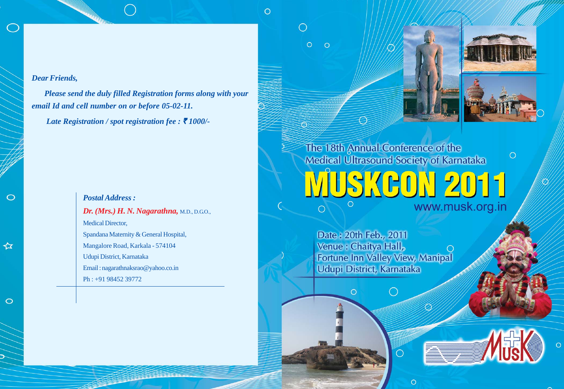## *Dear Friends,*

*Please send the duly filled Registration forms along with your email Id and cell number on or before 05-02-11.*

 $\circ$ 

O

 $\circ$ 

 $\circ$ 

 $\circ$ 

*Late Registration / spot registration fee : ₹ 1000/-*

## *Postal Address : Dr. (Mrs.) H. N. Nagarathna,* M.D., D.G.O., Medical Director, Spandana Maternity & General Hospital, Mangalore Road, Karkala - 574104 Udupi District, Karnataka Email : nagarathnaksrao@yahoo.co.in Ph : +91 98452 39772

The 18th Annual Conference of the  $\circ$ Medical Ultrasound Society of Karnataka JUSKGON 2011

www.musk.org.in

Date: 20th Feb., 2011 Venue : Chaitya Hall, Fortune Inn Valley View, Manipal Udupi District, Karnataka

 $\circ$ 

◯

 $\circ$ 



☆

 $\circ$